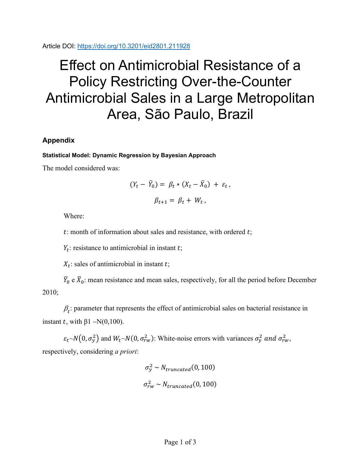Article DOI:<https://doi.org/10.3201/eid2801.211928>

## Effect on Antimicrobial Resistance of a Policy Restricting Over-the-Counter Antimicrobial Sales in a Large Metropolitan Area, São Paulo, Brazil

## **Appendix**

## **Statistical Model: Dynamic Regression by Bayesian Approach**

The model considered was:

$$
(Y_t - \overline{Y}_0) = \beta_t * (X_t - \overline{X}_0) + \varepsilon_t ,
$$

$$
\beta_{t+1} = \beta_t + W_t ,
$$

Where:

 $t$ : month of information about sales and resistance, with ordered  $t$ ;

 $Y_t$ : resistance to antimicrobial in instant t;

 $X_t$ : sales of antimicrobial in instant t;

 $\bar{Y}_0$  e  $\bar{X}_0$ : mean resistance and mean sales, respectively, for all the period before December 2010;

 $\beta_t$ : parameter that represents the effect of antimicrobial sales on bacterial resistance in instant t, with  $\beta$ 1 ~N(0,100).

 $\varepsilon_t \sim N(0, \sigma_y^2)$  and  $W_t \sim N(0, \sigma_{rw}^2)$ : White-noise errors with variances  $\sigma_y^2$  and  $\sigma_{rw}^2$ , respectively, considering *a priori*:

$$
\sigma_y^2 \sim N_{truncated}(0, 100)
$$
  

$$
\sigma_{rw}^2 \sim N_{truncated}(0, 100)
$$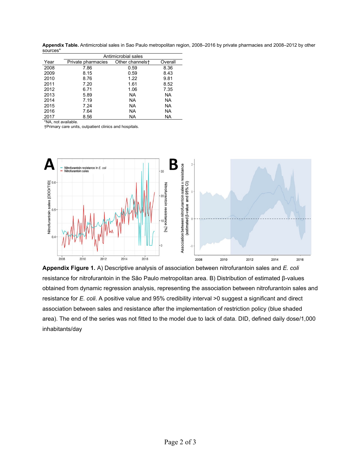**Appendix Table.** Antimicrobial sales in Sao Paulo metropolitan region, 2008–2016 by private pharmacies and 2008–2012 by other sources\*

|      | Antimicrobial sales |                 |           |
|------|---------------------|-----------------|-----------|
| Year | Private pharmacies  | Other channelst | Overall   |
| 2008 | 7.86                | 0.59            | 8.36      |
| 2009 | 8.15                | 0.59            | 8.43      |
| 2010 | 8.76                | 1.22            | 9.81      |
| 2011 | 7.20                | 1.61            | 8.52      |
| 2012 | 6.71                | 1.06            | 7.35      |
| 2013 | 5.89                | NA              | <b>NA</b> |
| 2014 | 7.19                | NA              | <b>NA</b> |
| 2015 | 7.24                | NA.             | <b>NA</b> |
| 2016 | 7.64                | NA.             | <b>NA</b> |
| 2017 | 8.56                | NA.             | <b>NA</b> |

\*NA, not available.

†Primary care units, outpatient clinics and hospitals.



**Appendix Figure 1.** A) Descriptive analysis of association between nitrofurantoin sales and *E. coli* resistance for nitrofurantoin in the São Paulo metropolitan area. B) Distribution of estimated β-values obtained from dynamic regression analysis, representing the association between nitrofurantoin sales and resistance for *E. coli*. A positive value and 95% credibility interval >0 suggest a significant and direct association between sales and resistance after the implementation of restriction policy (blue shaded area). The end of the series was not fitted to the model due to lack of data. DID, defined daily dose/1,000 inhabitants/day